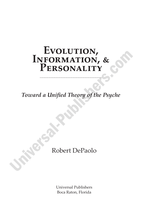# EVOLUTION,<br>INFORMATION, & PERSONALITY

Toward a Unified Theory of the Psyche

# Robert DePaolo

**Universal Publishers** Boca Raton, Florida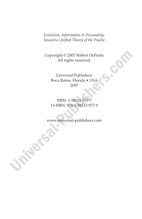*Evolution, Information & Personality:* **Toward a Unified Theory of the Psyche** 

Copyright © 2007 Robert DePaolo All rights reserved.

> Universal Publishers Boca Raton, Florida • USA 2007

> ISBN: 1-58112-977-7 13-ISBN: 978-1-58112-977-9

www.universal-publishers.com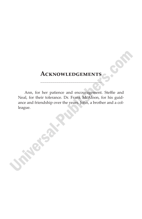## **ACKNOWLEDGEMENTS**

Ann, for her patience and encouragement. Steffie and Neal, for their tolerance. Dr. Frank McAloon, for his guidance and friendship over the years. John, a brother and a colleague.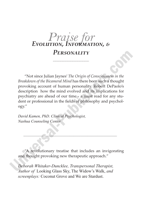# *Praise for EѣoљѢѡіoћ, Iћѓoџњюѡіoћ, <sup>ӕ</sup>*

### **PFRSONALITY**

"Not since Julian Jaynes' *The Origin of Consciousness in the Breakdown of the Bicameral Mind* has there been such a thought provoking account of human personality. Robert DePaolo's description how the mind evolved and its implications for psychiatry are ahead of our time - a must read for any student or professional in the fields of philosophy and psychology."

*David Kamen, PhD. Clinical Psychologist, Nashua Counseling Center*

"A revolutionary treatise that includes an invigorating and thought provoking new therapeutic approach."

*Deborah Whitaker-Duncklee, Transpersonal Therapist, Author of* Looking Glass Sky, The Widow's Walk, *and screenplays:* Coconut Grove and We are Stardust.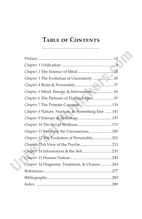# TABLE OF CONTENTS

| Chapter 3 The Evolution of Uncertainty  45       |  |
|--------------------------------------------------|--|
|                                                  |  |
| Chapter 5 Mind, Energy, & Information 81         |  |
|                                                  |  |
|                                                  |  |
| Chapter 8 Nature, Nurture, & Something Else  141 |  |
|                                                  |  |
| Chapter 10 The Act of Wellness  171              |  |
| Chapter 11 Reviving the Unconscious 185          |  |
| Chapter 12 The Evolution of Personality 201      |  |
|                                                  |  |
|                                                  |  |
|                                                  |  |
| Chapter 16 Diagnosis, Treatment, & Closure263    |  |
|                                                  |  |
|                                                  |  |
|                                                  |  |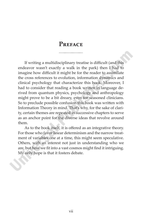#### **PREFACE**

If writing a multidisciplinary treatise is difficult (and this endeavor wasn't exactly a walk in the park) then I had to imagine how difficult it might be for the reader to assimilate the cross references to evolution, information dynamics and clinical psychology that characterize this book. Moreover, I had to consider that reading a book written in language derived from quantum physics, psychology and anthropology might prove to be a bit dreary, even for seasoned clinicians. So to preclude possible confusion this book was written with Information Theory in mind. That's why, for the sake of clarity, certain themes are repeated in successive chapters to serve as an anchor point for the diverse ideas that revolve around them.

As to the book itself, it is offered as an integrative theory. For those who favor linear determinism and the narrow treatment of variables one at a time, this might seem speculative. Others, with an interest not just in understanding who we are, but how we fit into a vast cosmos might find it intriguing. My only hope is that it fosters debate.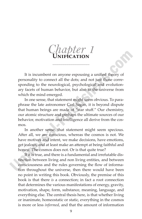$Chatter$  1

It is incumbent on anyone espousing a unified theory of personality to connect all the dots; and not just those corresponding to the neurological, psychological and evolutionary facets of human behavior, but also to the universe from which the mind emerged.

In one sense, that statement might seem obvious. To paraphrase the late astronomer Carl Sagan, it is beyond dispute that human beings are made of "star stuff." Our chemistry, our atomic structure and perhaps the ultimate sources of our behavior, motivation and intelligence all derive from the cosmos.

In another sense, that statement might seem specious. After all, we are conscious, whereas the cosmos is not. We have motives and intent, we make decisions, have emotions, get jealous, and at least make an attempt at being faithful and honest. The cosmos does not. Or is that quite true?

If it is true, and there is a fundamental and irrefutable distinction between living and non living entities, and between consciousness and the rules governing the flow of information throughout the universe, then there would have been no point in writing this book. Obviously, the premise of this book is that there *is* a connection; in fact a root connection that determines the various manifestations of energy, gravity, motivation, shape, form, substance, meaning, language, and everything else. The central thesis here, is that whether living or inanimate, homeostatic or static, everything in the cosmos is more or less *informed*, and that the amount of information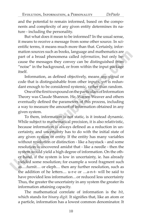and the potential to remain informed, based on the components and complexity of any given entity determines its nature - including the personality.

But what does it mean to be informed? In the usual sense, it means to receive a message from some other source. In scientific terms, it means much more than that. Certainly, information sources such as books, language and mathematics are part of a broad phenomena called *information*, but only because the messages they convey can be distinguished from "noise" in the background, or from within the input package itself.

Information, as defined objectively, means any signal or code that is distinguishable from other inputs, yet is redundant enough to be considered systemic, rather than random.

One of the first to expound on the particulars of Information Theory was Claude Shannon. He, Warren Weaver and others eventually defined the parameters of this process, including a way to measure the amount of information obtained in any given system.

To them, information is not static, is it instead dynamic. While subject to mathematical precision, it is also relativistic, because information is always defined as a reduction in uncertainty, and uncertainty has to do with the initial state of any given system or entity. If the entity has many variables without resolution or distinction - like a haystack - and some resolution is uncovered amidst that - like a needle - then the system would yield a high degree of information. On the other hand, if the system is low in uncertainty, ie. has already yielded some resolution; for example a word fragment such as….furnit… or eleph… then any further resolution, such as the addition of he letters... u-r-e or ...a-n-t- will be said to have provided less information…or reduced less uncertainty Thus, the greater the uncertainty in any system the greater its information attaining capacity.

The mathematical correlate of information is the *bit*, which stands for *binary digit*. It signifies that, like an atom or a particle, information has a lowest common denominator. It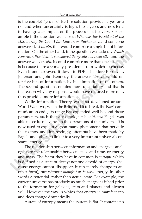#### UNIFICATION

is the couplet "yes-no." Each resolution provides a yes or a no, and when uncertainty is high, those yeses and no's tend to have greater impact on the process of discovery. For example if the question was asked: *Who was the President of the U.S. during the Civil War, Lincoln or Buchanan*…and someone answered…*Lincoln,* that would comprise a single bit of information. On the other hand, if the question was asked…*Which American President is considered the greatest of them all*…and the answer was *Lincoln,* it could comprise more than one bit. That is because there are many presidents from which to choose. Even if one narrowed it down to FDR, Theodore Roosevelt, Jefferson and John Kennedy, the answer *Lincoln* would offer five bits of information by its elimination of the others. The second question contains more uncertainty and that is the reason why any response would have reduced more of it, thus provided more information.

While Information Theory was first developed around World War Two, when the Brits used it to break the Nazi communication code, its range has expanded well beyond those parameters, such that a cosmologist like Heinz Pagels was able to see its relevance in the operations of the universe. It is now used to explain a great many phenomena that pervade the cosmos, and, interestingly, attempts have been made by Pagels and others to link it to a very important universal constant - energy.

The relationship between information and energy is analogous to the relationship between space and time, or energy and mass. The factor they have in common is *entropy*, which is defined as a state of decay; not one devoid of energy, (because energy cannot disappear, it can merely change to another form), but without *manifest or focused* energy. In other words a potential, rather than actual state. For example, the current universe has precisely as much energy as it had prior to the formation for galaxies, stars and planets and always will. However the way in which that energy is manifest can and does change dramatically.

A state of entropy means the system is flat. It contains no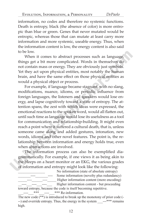information, no codes and therefore no systemic functions. Death is entropy, black (the absence of color) is more entropic than blue or green. Genes that never mutated would be entropic, whereas those that can mutate at least carry more information and more systemic, useable energy. Thus, when the information content is low, the energy content is also said to be low.

When it comes to abstract processes such as language, things get a bit more complicated. Words in themselves do not contain mass or energy. They are obviously just symbols. Yet they act upon physical entities, most notably the human brain, and have the same effect on those physical entities as would a physical object or process.

For example, if language became stagnant, with no slang, modifications, nuance, idioms, or periodic influence from foreign languages, the listeners and speakers would lose energy, and lapse cognitively toward a state of entropy. The attention spans, the zest with which ideas were expressed, the emotional reactions to the spoken word, would all flatten out, until such time as language would lose its usefulness as a tool for communication and relationship-building. It might even reach a point where it suffered a cultural death, that is, unless someone came along and added gestures, intonation, new words, idioms and other novel features. The point is, the relationship between information and energy holds true, even when abstractions are involved.

The information process can also be exemplified diagrammatically. For example, if one views it as being akin to the bleeps on a heart monitor or an EKG, the various grades of information and entropy might look like the following:

No information (state of absolute entropy) \_\_\_\_\_\_\_----\_\_\_\_\_\_\_---- Some information (novelty plus redundancy) *\_\_\_\_\_----\_\_\_\_\_\_----\_\_\_\_\_* Higher information content (more encoding) Higher information content - but proceeding toward entropy, because the code is itself becoming repetitive.  $\frac{***}{***}$  \_\_\_\_ \*\*\* Re-information.

The new code  $(\overline{**})$  is introduced to break up the monotony of prior code (---) and override entropy. Thus, the energy in the system \_\_\_---\*\*\* remains high.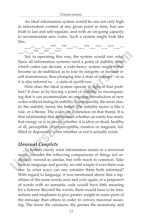An ideal information system would be one not only high in information content at any given point in time, but one built to last and self regulate, and with an on-going capacity to accommodate new codes. Such a system might look like this:

\_\_\_---\_\_\_---\_\_\_\*\*\*\_\_\_\*\*\*\_\_\_----\_\_\_\*\*\*\_\_\_^^^\_\_\_^^^\_\_\_--- \_\_\_---\_\_\_\*\*\*\_\_\_\*\*\*\_\_\_^^^

Yet, in operating this way, the system would run risks. Since all information systems need a point of stability from which codes can deviate, a code-heavy system might either become so de-stabilized as to lose its integrity or become itself monotonous, thus plunging into a state of entropy - or as it is also referred to… a state of *equilibrium*.

How does the ideal system operate in light of that problem? It does so by having a point of stability so encompassing that it can accommodate an ongoing introduction of new codes without losing its stability. Consequently, the more elastic the stability factor, the better. The stability factor is like a rule, or a theme. The codes are a variation on that theme. It is that relationship that determines whether an entity has manifest energy or is in decay, whether it is alive or dead, healthy or ill, perceptible or imperceptible, creative or stagnant, fulfilled or depressed - even whether or not it actually exists.

#### *Unusual Couplets*

To further clarify what information means in a universal sense, consider the following comparisons of things not ordinarily viewed as similar, but with much in common. Take human language and gravity, an odd couple if ever there was one. In what ways can one consider them both informed? With regard to language, it was mentioned above that a repetition of the same words over and over again, or a potpourri of words with no semantic code would have little meaning for a listener. Beyond the words, there would have to be intonations and emphases to give greater weight to some parts of the message than others in order to convey maximal meaning. The fewer the variances, the greater the monotony, and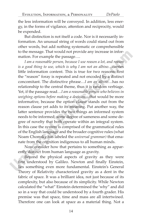the less information will be conveyed. In addition, less energy, in the forms of vigilance, attention and reciprocity, would be expended.

But distinction is not itself a code. Nor is it necessarily information. An unusual string of words could stand out from other words, but add nothing systematic or comprehensible to the message. That would not provide any increase in information. For example the passage….

*I am a reasonable person, because I use reason a lot, and reason is a good thing to use, which is why I am not an albino…*carries little information content. This is true for two reasons: first the "reason" foray is repeated and not encoded by a distinct concomitant. The distinctive phrase…*I am an albino*…has no relationship to the central theme, thus it is random verbiage. Yet, if the passage read…*I am a reasonable person who believes in weighing options before making a decision…*that would be more informative, because the option clause stands out from the reason clause yet adds to its meaning. Put another way, the latter sentence provides the two things an informed system needs to be informed; some degree of sameness and some degree of novelty that both operate within an integral system. In this case the system is comprised of the grammatical rules of the English language and the broader cognitive rules (what Noam Chomsky has labeled the *universal grammar)* that emanate from the cognition indigenous to all human minds.

Now consider how that pertains to something as apparently distinct from human language as gravity.

Beyond the physical aspects of gravity as they were first understood by Galileo. Newton and finally Einstein, lies something even more fundamental. Einstein's General Theory of Relativity characterized gravity as a dent in the fabric of space. It was a brilliant idea, not just because of its complexity, but also because of its simplicity. While Newton calculated the "what" Einstein determined the 'why" and did so in a way that could be understood by a fourth grader. His premise was that space, time and mass are all intertwined. Therefore one can look at space as a material thing. Not a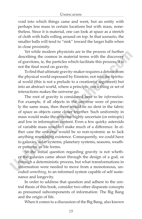void into which things came and went, but an entity with perhaps less mass in certain locations but with mass, nonetheless. Since it is material, one can look at space as a stretch of cloth with balls rolling around on top. In that scenario, the smaller balls will tend to "sink" toward the larger balls when in close proximity.

Yet while modern physicists are in the process of further describing the cosmos in material terms with the discovery of gravitons, ie, the particles which facilitate this process, it is not the final word on gravity.

To find that ultimate gravity-maker requires a detour from the physical world espoused by Einstein; not into the spiritual world (this is not a prelude to a creationist argument) but into an abstract world, where a principle, not a thing or set of interactions makes the universe go.

The root of gravity is considered here to be *information.*  For example, if all objects in the universe were of precisely the same mass, then there would be no dent in the fabric of space as objects came closer together. Such uniformity in mass would make the universe highly uncertain (or entropic) and low in information content. Even a few quirky asteroids of variable mass wouldn't make much of a difference. In either case the universe would be so non-systemic as to lack anything resembling existence. Consequently, we could have to galaxies, solar systems, planetary systems, seasons, weather patterns, or life forms.

So the initial question regarding gravity is not whether the galaxies came about through the design of a god, or through a deterministic process, but what transformations in information were needed to move from a monotonous, uncoded *something*, to an informed system capable of self sustenance and longevity.

In order to address that question and adhere to the central thesis of this book, consider two other disparate concepts as presumed subcomponents of information: The Big Bang and the origin of life.

When it comes to a discussion of the Big Bang, also known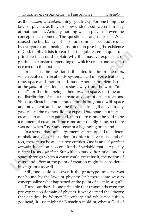as the *moment of creation,* things get tricky. For one thing, the laws of physics as they are now understood, weren't in play at that moment. Actually, nothing was in play - not even the concept of a moment. The question is often asked: "What caused the Big Bang?" This conundrum has been addressed by everyone from theologians intent on proving the existence of God, to physicists in search of the quintessential quantum principle that could explain why this massive explosion, or gradual expansion (depending on which version one accepts) occurred in the first place.

In a sense, the question is ill-suited to a brain like ours, which evolved in an already systematized universe featuring time, space and motion and mass. Another problem is that at the *point* of creation - let's stay away from the word "moment" for the time being - there *was* no space, no time and no distribution of mass to create any sort of object relations. Since, as Einstein demonstrated, time is integrated with space and movement, and since the tiny cosmic egg that eventually gave rise to the cosmos did not expand *into* space, but instead created space as it expanded, then there cannot be said to be a moment of creation. Time came after the Big Bang, so there was no "when," nor any sense of a beginning or an end.

In a sense, that same argument can be applied to a deterministic analysis of causation. In order to have cause and effect, there must be at least two entities. One is an *independent variable*. It acts on a second kind of variable that is typically referred to as *dependent*. But with no mass differentials and no space through which a cause could exert itself, the notion of cause and effect at the point of creation might be considered incongruous as well.

Still, one could ask, even if the prototype universe was not bound by the laws of physics: Isn't there some way to conceptualize what happened at the point of cosmic origin?

Turns out there is one principle that transcends even the pre-expansion domain of physics. It was deemed the "theory that decides" by Werner Heisenberg and while not quite a godhead, it just might fit Einstein's mold of what a God of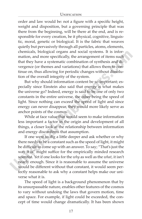#### UNIFICATION

order and law would be: not a figure with a specific height, weight and disposition, but a governing principle that was there from the beginning, will be there at the end, and is responsible for every creation, be it physical, cognitive, linguistic, moral, genetic or biological. It is the fabric that weaves quietly but pervasively through all particles, atoms, elements, chemicals, biological organs and social systems. It is information, and more specifically, the arrangement of items such that they have a systematic combination of synthesis and divergence (or themes and variations) that allows them to continue on, thus allowing for periodic changes without dissolution of the overall integrity of the system.

But why should information content be so important; especially since Einstein also said that energy is what makes the universe go? Indeed, energy is said to be one of only two constants in the entire universe, the other being the speed of light. Since nothing can exceed the speed of light and since energy can never disappear, they would more likely serve as anchor points of the cosmos.

While at face value that would seem to make information less important a factor in the origin and development of all things, a closer look at the relationship between information and energy disconfirms that assumption.

If one were to dig a little deeper and ask whether or why there needs to be a constant such as the speed of light, it might be difficult to come up with an answer. To say; "That's just the way it is" might suffice for the empirically minded research scientist. Yet if one looks for the *why* as well as the *what*, it isn't nearly enough. Since it is reasonable to assume the universe would be different without that constant, it would seem perfectly reasonable to ask why a constant helps make our universe what it is.

The speed of light is a background phenomenon that by its unsurpassable nature, enables other features of the cosmos to vary without undoing the laws that govern motion, time and space. For example, if light could be exceeded, the concept of time would change dramatically. It has been shown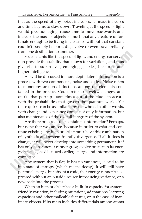that as the speed of any object increases, its mass increases and time begins to slow down. Traveling at the speed of light would preclude aging, cause time to move backwards and increase the mass of objects so much that any creature unfortunate enough to be living in a cosmos without that constant couldn't possibly be born, die, evolve or even travel reliably from one destination to another.

So, constants like the speed of light, and energy conservation provide the stability that allows for variations, and thus give rise to supernovas, emerging galaxies, life forms and higher intelligence.

As will be discussed in more depth later, information is a process with two components; noise and codes. Noise refers to monotony or non-distinctions among the elements contained in the process. Codes refer to novelty, changes, and quirks that pop up - sometimes out of the blue - in accord with the probabilities that govern the quantum world. Yet these quirks can be assimilated by the whole. In other words, with change and constancy comes not only information, but also maintenance of the overall integrity of the system.

Are there processes that contain no information? Perhaps, but none that we can see, because in order to exist and continue existing, any item or object must have this combination of synthesis and system-friendly divergence. If all it does is change, it will never develop into something permanent. It if has only constancy, it cannot grow, evolve or sustain its energy because, as discussed earlier, energy and information are connected.

Any system that is flat, ie has no variances, is said to be in a state of entropy (which means decay). It will still have potential energy, but absent a code, that energy cannot be expressed without an outside source introducing variance, or a new code into the process.

When an item or object has a built-in capacity for systemfriendly variation, including mutations, adaptations, learning capacities and other malleable features, or in the case of inanimate objects, if its mass includes differentials among atoms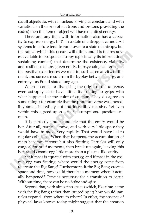(as all objects do, with a nucleus serving as constant, and with variations in the form of neutrons and protons providing the codes) then the item or object will have manifest energy.

Therefore, any item with information also has a capacity to express energy. If it's in a state of entropy it cannot. All systems in nature tend to run down to a state of entropy, but the rate at which this occurs will differ, and it is the resources available to postpone entropy (specifically its informationsustaining content) that determine the existence, viability, and resilience of any given entity. In psychological terms, all the positive experiences we refer to, such as creativity, fulfillment, and success result from the byplay between energy and entropy - as Freud stated long ago.

When it comes to discussing the origin of the universe, even astrophysicists have difficulty coming to grips with what happened at the point of creation. They do agree on some things; for example that the proto-universe was incredibly small, incredibly hot and incredibly massive. Yet even within this agreed-upon set of assumptions, questions remain.

It is perfectly understandable that the entity would be hot. After all, particles move, and with very little space they would have to move very rapidly. That would have led to regular collisions. When that happens, the accumulation of mass becomes intense but also fleeting. Particles will only congeal for brief moments, then break up again, leaving this hot, rapid cosmic egg little more than a plasma-like entity.

Yet if mass is equated with energy, and if mass in the cosmic egg was fleeting, where would the energy come from to create the Big Bang? Furthermore, if the Big Bang created space and time, how could there be a moment when it actually happened? Time is necessary for a transition to occur. Without time, there can be no *before* and *after*.

Beyond that, with almost no space (which, like time, came with the Big Bang rather than preceding it) how would particles expand - from where to where? In effect, the absence of physical laws known today might suggest that the creation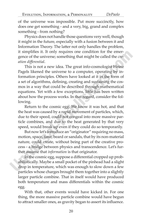of the universe was impossible. Put more succinctly, how does one get something - and a very, big, grand and complex something - from nothing?

Physics does not handle those questions very well, though it might in the future, especially with a fusion between it and Information Theory. The latter not only handles the problem, it simplifies it. It only requires one condition for the emergence of the universe; something that might be called the *creation diff erential*.

This is not a new idea. The great info-cosmologist Heinz Pagels likened the universe to a computer, operating by information principles. Others have looked at it in the form of a set of algorithms, defining, creating and sustaining the cosmos in a way that could be described through mathematical equations. Yet with a few exceptions, little has been written about how the process works. In that regard, consider the following.

Return to the cosmic egg. We know it was hot, and that the heat was caused by a rapid movement of particles, which, due to their speed, could not congeal into more massive particle combines, and due to the heat generated by that very speed, would break up even if they could do so temporarily.

But now let's introduce an "originator" requiring no mass, motion, space, time, beard or sandals, that by its non-material nature, could create, without being part of the creative process - a bridge between physics and transcendence. Let's further assume that *information* is that originator.

In the cosmic egg, suppose a differential cropped up probabilistically. Maybe a small pocket of the pinhead had a slight drop in temperature, which was enough to slow down a few particles whose charges brought them together into a slightly larger particle combine. That in itself would have produced both temperature and mass differentials within the cosmic egg.

With that, other events would have kicked in. For one thing, the more massive particle combine would have begun to attract smaller ones, as gravity began to assert its influence.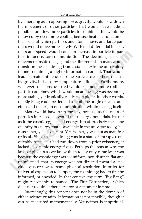#### UNIFICATION

By emerging as an opposing force, gravity would slow down the movement of other particles. That would have made it possible for a few more particles to combine. This would be followed by even more cooling because heat is a function of the speed at which particles and atoms move, and large particles would move more slowly. With that differential in heat, mass and speed, would come an increase in particle to particle influence...or communication. The declining speed of movement inside the egg and the differentials in mass would transform the cosmic egg from a state of extreme uncertainty to one containing a higher information content. That would lead to greater influence of some particles over others, not just by gravity, but also by temperature influence. Furthermore, whatever collisions occurred would be among more resilient particle combines, which would mean the egg was becoming more stable, yet ironically, ready to explode. In other words, the Big Bang could be defined as both the origin of cause and effect and the origin of communication within the egg itself.

Mass would have been the key, because as the mass of particles increased, so would their energy potentials. It's not as if the cosmic egg lacked energy. It had precisely the same quantity of energy that is available in the universe today, because energy is a constant. Yet its energy was not as manifest or focal,. Since the cosmic egg was in a state of entropy, (conceivably because it had run down from a prior existence), it lacked a systemic energy focus. Perhaps the reason why the laws of physics as we know them today only came later was because the cosmic egg was so uniform, non-distinct, flat and uninformed, that its energy was not directed toward a specific locus or toward some physical resolution. In order for universal expansion to happen, the cosmic egg had to first be informed, or encoded. In that context, the term "Big Bang" might reasonably re-named "The First Distinction," which does not require either a creator or a moment in time.

Interestingly, this concept does not lie in the domain of either science or faith. Information is not tangible, though it can be measured mathematically. Yet neither is it spiritual,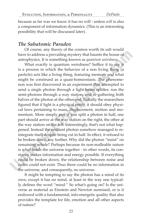because as far was we know it has no will - unless *will* is also a component of information dynamics. (This is an interesting possibility that will be discussed later).

#### *The Subatomic Paradox*

Of course, any theory of the cosmos worth its salt would have to address a prevailing mystery that haunts the house of astrophysics. It is something known as *quantum weirdness*.

What exactly is quantum weirdness? Suffice it to say it is a process in which the behavior of a non living thing (a particle) acts like a living thing, featuring memory and what might be construed as a quasi-homeostasis. The phenomenon was first discovered in an experiment that attempted to send a single photon through a light beam splitter, run the semi-photons through a way station, and re-gathering both halves of the photon at the other end. Initially the researchers figured that if light is a physical entity, it should obey physical laws pertaining to mass, displacement, motion and momentum. More simply put, if you split a photon in half, one part should arrive at the way station on the right, the other at the way station on the left. Interestingly, that's not what happened. Instead the resilient photon somehow managed to reintegrate itself despite being cut in half. In effect, it refused to be broken down any further. Why did the photon "insist" on remaining whole? Perhaps because its non-malleable nature is what holds the universe together - in other words, its constancy makes information and energy possible. If everything could be broken down, the relationship between noise and codes could not exist. Thus there could be no information in the universe, and consequently, no universe.

It might be tempting to say the photon has a mind of its own, except it has no mind, at least in the way one typically defines the word "mind." So what's going on? Is the universe as material as Einstein and Newton surmised, or is it endowed with a fundamental, info-energetic quality that also provides the template for life, emotion and all other aspects of nature?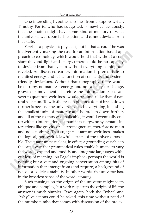One interesting hypothesis comes from a superb writer, Timothy Ferris, who has suggested, somewhat facetiously, that the photon might have some kind of memory of what the universe was upon its inception, and cannot deviate from that state.

 Ferris is a physicist's physicist, but in that account he was inadvertently making the case for an information-based approach to cosmology, which would hold that without a constant (beyond light and energy) there could be no capacity to deviate from that system without everything coming unraveled. As discussed earlier, information is prerequisite to manifest energy, and it is a function of constants and systemfriendly deviations. Without that topography, there would be entropy, no manifest energy, and no capacity for change, growth or movement. Therefore the information-based answer to quantum weirdness would be almost like that of natural selection. To wit; .the reason photons do not break down further is because the universe exists. If everything, including the smallest units of matter, could be broken down further, and all of the cosmos was malleable, it would eventually end up with no information, no manifest energy, no systematic interactions like gravity or electromagnetism, therefore no mass and no….nothing. That suggests quantum weirdness makes the logical, non-weird, lawful aspects of the universe possible. The quantum particle is, in effect, a grounding variable in the same way that grammatical rules enable humans to vary the words, expand and modify and integrate languages without loss of meaning. As Pagels implied, perhaps the world is nothing but a vast and ongoing conversation among bits of information that emerge from (and require) a background of noise- or codeless stability. In other words, the universe has, in the broadest sense of the word, *meaning.*

Such musings on the origin of the universe might seem oblique and complex, but with respect to the origin of life the answer is much simpler. Once again, both the "what" and "why" questions could be asked, this time without need of the mumbo jumbo that comes with discussion of the pre-ex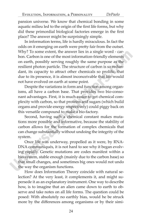pansion universe. We know that chemical bonding in some aquatic milieu led to the origin of the first life forms, but why did these primordial biological factories emerge in the first place? The answer might be surprisingly simple.

In information terms, life is hardly miraculous. In fact the odds on it emerging on earth were pretty fair from the outset. Why? To some extent, the answer lies in a single word - carbon. Carbon is one of the most information-friendly elements on earth, possibly serving roughly the same purpose as the resilient photon particle. The structure of carbon is so redundant, its capacity to attract other chemicals so prolific, that due to its presence, it is almost inconceivable that life would not have evolved on earth at some point.

Despite the variations in form and function among organisms, all have a carbon base. That provides two bio-consonant advantages. First, it is much easier to get chemical complexity with carbon, so that proteins and sugars (which build organs and provide energy respectively) could piggy back on this versatile compound to make a bio-factory.

Second, having such a chemical constant makes mutations more possible and informative, because the stability of carbon allows for the formation of complex chemicals that can change substantially without undoing the integrity of the system.

Once life was underway, propelled as it were, by RNA- DNA communiqués, it is not hard to see why it began evolving rapidly. Genetic mutations are codes manifest within a bio-system, stable enough (mainly due to the carbon base) so that small changes, and sometimes big ones would not undo the way the organism functions.

How does Information Theory coincide with natural selection? At the very least, it complements it, and might supersede it as an explanatory instrument. One way to describe how, is to imagine that an alien came down to earth to observe and take notes on all life forms. The question could be posed: With absolutely no earthly bias, would he be struck more by the differences among organisms or by their simi